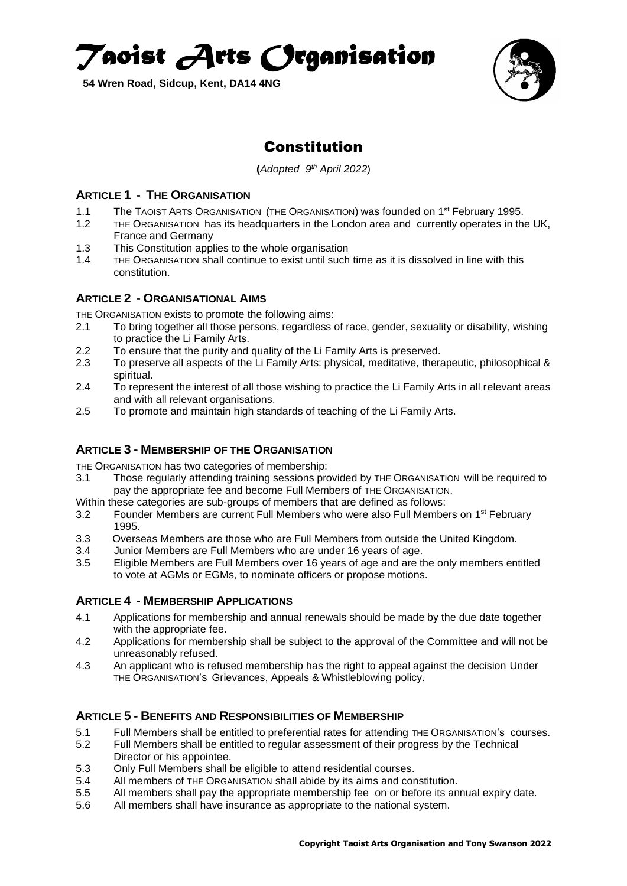*Taoist Arts Organisation* 

**54 Wren Road, Sidcup, Kent, DA14 4NG**



# Constitution

**(***Adopted 9 th April 2022*)

## **ARTICLE 1 - THE ORGANISATION**

- 1.1 The TAOIST ARTS ORGANISATION (THE ORGANISATION) was founded on 1<sup>st</sup> February 1995.
- 1.2 THE ORGANISATION has its headquarters in the London area and currently operates in the UK, France and Germany
- 1.3 This Constitution applies to the whole organisation
- 1.4 THE ORGANISATION shall continue to exist until such time as it is dissolved in line with this constitution.

#### **ARTICLE 2 - ORGANISATIONAL AIMS**

THE ORGANISATION exists to promote the following aims:

- 2.1 To bring together all those persons, regardless of race, gender, sexuality or disability, wishing to practice the Li Family Arts.
- 2.2 To ensure that the purity and quality of the Li Family Arts is preserved.
- 2.3 To preserve all aspects of the Li Family Arts: physical, meditative, therapeutic, philosophical & spiritual.
- 2.4 To represent the interest of all those wishing to practice the Li Family Arts in all relevant areas and with all relevant organisations.
- 2.5 To promote and maintain high standards of teaching of the Li Family Arts.

## **ARTICLE 3 - MEMBERSHIP OF THE ORGANISATION**

THE ORGANISATION has two categories of membership:

- 3.1 Those regularly attending training sessions provided by THE ORGANISATION will be required to pay the appropriate fee and become Full Members of THE ORGANISATION.
- Within these categories are sub-groups of members that are defined as follows:
- 3.2 Founder Members are current Full Members who were also Full Members on 1<sup>st</sup> February 1995.
- 3.3 Overseas Members are those who are Full Members from outside the United Kingdom.
- 3.4 Junior Members are Full Members who are under 16 years of age.
- 3.5 Eligible Members are Full Members over 16 years of age and are the only members entitled to vote at AGMs or EGMs, to nominate officers or propose motions.

## **ARTICLE 4 - MEMBERSHIP APPLICATIONS**

- 4.1 Applications for membership and annual renewals should be made by the due date together with the appropriate fee.
- 4.2 Applications for membership shall be subject to the approval of the Committee and will not be unreasonably refused.
- 4.3 An applicant who is refused membership has the right to appeal against the decision Under THE ORGANISATION'S Grievances, Appeals & Whistleblowing policy.

## **ARTICLE 5 - BENEFITS AND RESPONSIBILITIES OF MEMBERSHIP**

- 5.1 Full Members shall be entitled to preferential rates for attending THE ORGANISATION's courses.
- 5.2 Full Members shall be entitled to regular assessment of their progress by the Technical Director or his appointee.
- 5.3 Only Full Members shall be eligible to attend residential courses.
- 5.4 All members of THE ORGANISATION shall abide by its aims and constitution.
- 5.5 All members shall pay the appropriate membership fee on or before its annual expiry date.
- 5.6 All members shall have insurance as appropriate to the national system.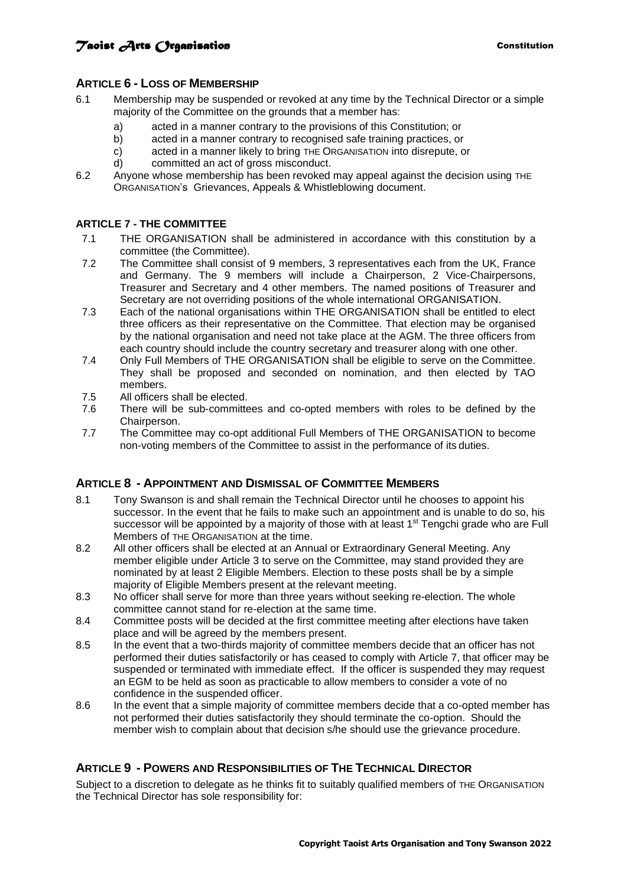## **Taoist Arts Creamisation Constitution Constitution**

## **ARTICLE 6 - LOSS OF MEMBERSHIP**

- 6.1 Membership may be suspended or revoked at any time by the Technical Director or a simple majority of the Committee on the grounds that a member has:
	- a) acted in a manner contrary to the provisions of this Constitution; or
	- b) acted in a manner contrary to recognised safe training practices, or
	- c) acted in a manner likely to bring THE ORGANISATION into disrepute, or
	- d) committed an act of gross misconduct.
- 6.2 Anyone whose membership has been revoked may appeal against the decision using THE ORGANISATION's Grievances, Appeals & Whistleblowing document.

## **ARTICLE 7 - THE COMMITTEE**

- 7.1 THE ORGANISATION shall be administered in accordance with this constitution by a committee (the Committee).
- 7.2 The Committee shall consist of 9 members, 3 representatives each from the UK, France and Germany. The 9 members will include a Chairperson, 2 Vice-Chairpersons, Treasurer and Secretary and 4 other members. The named positions of Treasurer and Secretary are not overriding positions of the whole international ORGANISATION.
- 7.3 Each of the national organisations within THE ORGANISATION shall be entitled to elect three officers as their representative on the Committee. That election may be organised by the national organisation and need not take place at the AGM. The three officers from each country should include the country secretary and treasurer along with one other.
- 7.4 Only Full Members of THE ORGANISATION shall be eligible to serve on the Committee. They shall be proposed and seconded on nomination, and then elected by TAO members.
- 7.5 All officers shall be elected.<br>7.6 There will be sub-committe
- There will be sub-committees and co-opted members with roles to be defined by the Chairperson.
- 7.7 The Committee may co-opt additional Full Members of THE ORGANISATION to become non-voting members of the Committee to assist in the performance of itsduties.

## **ARTICLE 8 - APPOINTMENT AND DISMISSAL OF COMMITTEE MEMBERS**

- 8.1 Tony Swanson is and shall remain the Technical Director until he chooses to appoint his successor. In the event that he fails to make such an appointment and is unable to do so, his successor will be appointed by a majority of those with at least 1<sup>st</sup> Tengchi grade who are Full Members of THE ORGANISATION at the time.
- 8.2 All other officers shall be elected at an Annual or Extraordinary General Meeting. Any member eligible under Article 3 to serve on the Committee, may stand provided they are nominated by at least 2 Eligible Members. Election to these posts shall be by a simple majority of Eligible Members present at the relevant meeting.
- 8.3 No officer shall serve for more than three years without seeking re-election. The whole committee cannot stand for re-election at the same time.
- 8.4 Committee posts will be decided at the first committee meeting after elections have taken place and will be agreed by the members present.
- 8.5 In the event that a two-thirds majority of committee members decide that an officer has not performed their duties satisfactorily or has ceased to comply with Article 7, that officer may be suspended or terminated with immediate effect. If the officer is suspended they may request an EGM to be held as soon as practicable to allow members to consider a vote of no confidence in the suspended officer.
- 8.6 In the event that a simple majority of committee members decide that a co-opted member has not performed their duties satisfactorily they should terminate the co-option. Should the member wish to complain about that decision s/he should use the grievance procedure.

## **ARTICLE 9 - POWERS AND RESPONSIBILITIES OF THE TECHNICAL DIRECTOR**

Subject to a discretion to delegate as he thinks fit to suitably qualified members of THE ORGANISATION the Technical Director has sole responsibility for: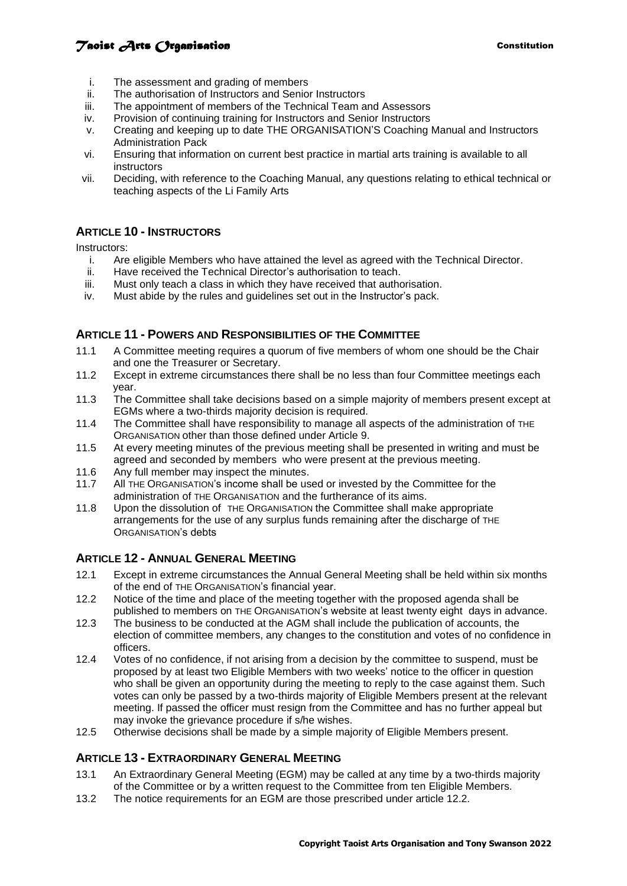# **Taoist Arts Creamisation Constitution Constitution**

- i. The assessment and grading of members
- ii. The authorisation of Instructors and Senior Instructors
- iii. The appointment of members of the Technical Team and Assessors
- iv. Provision of continuing training for Instructors and Senior Instructors
- v. Creating and keeping up to date THE ORGANISATION'S Coaching Manual and Instructors Administration Pack
- vi. Ensuring that information on current best practice in martial arts training is available to all instructors
- vii. Deciding, with reference to the Coaching Manual, any questions relating to ethical technical or teaching aspects of the Li Family Arts

## **ARTICLE 10 - INSTRUCTORS**

Instructors:

- i. Are eligible Members who have attained the level as agreed with the Technical Director.
- ii. Have received the Technical Director's authorisation to teach.
- iii. Must only teach a class in which they have received that authorisation.
- iv. Must abide by the rules and guidelines set out in the Instructor's pack.

#### **ARTICLE 11 - POWERS AND RESPONSIBILITIES OF THE COMMITTEE**

- 11.1 A Committee meeting requires a quorum of five members of whom one should be the Chair and one the Treasurer or Secretary.
- 11.2 Except in extreme circumstances there shall be no less than four Committee meetings each year.
- 11.3 The Committee shall take decisions based on a simple majority of members present except at EGMs where a two-thirds majority decision is required.
- 11.4 The Committee shall have responsibility to manage all aspects of the administration of THE ORGANISATION other than those defined under Article 9.
- 11.5 At every meeting minutes of the previous meeting shall be presented in writing and must be agreed and seconded by members who were present at the previous meeting.
- 11.6 Any full member may inspect the minutes.
- 11.7 All THE ORGANISATION's income shall be used or invested by the Committee for the administration of THE ORGANISATION and the furtherance of its aims.
- 11.8 Upon the dissolution of THE ORGANISATION the Committee shall make appropriate arrangements for the use of any surplus funds remaining after the discharge of THE ORGANISATION's debts

## **ARTICLE 12 - ANNUAL GENERAL MEETING**

- 12.1 Except in extreme circumstances the Annual General Meeting shall be held within six months of the end of THE ORGANISATION's financial year.
- 12.2 Notice of the time and place of the meeting together with the proposed agenda shall be published to members on THE ORGANISATION's website at least twenty eight days in advance.
- 12.3 The business to be conducted at the AGM shall include the publication of accounts, the election of committee members, any changes to the constitution and votes of no confidence in officers.
- 12.4 Votes of no confidence, if not arising from a decision by the committee to suspend, must be proposed by at least two Eligible Members with two weeks' notice to the officer in question who shall be given an opportunity during the meeting to reply to the case against them. Such votes can only be passed by a two-thirds majority of Eligible Members present at the relevant meeting. If passed the officer must resign from the Committee and has no further appeal but may invoke the grievance procedure if s/he wishes.
- 12.5 Otherwise decisions shall be made by a simple majority of Eligible Members present.

## **ARTICLE 13 - EXTRAORDINARY GENERAL MEETING**

- 13.1 An Extraordinary General Meeting (EGM) may be called at any time by a two-thirds majority of the Committee or by a written request to the Committee from ten Eligible Members.
- 13.2 The notice requirements for an EGM are those prescribed under article 12.2.